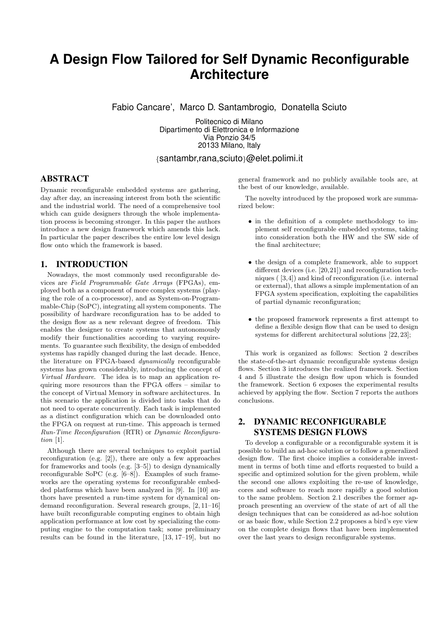# **A Design Flow Tailored for Self Dynamic Reconfigurable Architecture**

Fabio Cancare', Marco D. Santambrogio, Donatella Sciuto

Politecnico di Milano Dipartimento di Elettronica e Informazione Via Ponzio 34/5 20133 Milano, Italy

# {santambr,rana,sciuto}@elet.polimi.it

# ABSTRACT

Dynamic reconfigurable embedded systems are gathering, day after day, an increasing interest from both the scientific and the industrial world. The need of a comprehensive tool which can guide designers through the whole implementation process is becoming stronger. In this paper the authors introduce a new design framework which amends this lack. In particular the paper describes the entire low level design flow onto which the framework is based.

## 1. INTRODUCTION

Nowadays, the most commonly used reconfigurable devices are Field Programmable Gate Arrays (FPGAs), employed both as a component of more complex systems (playing the role of a co-processor), and as System-on-Programmable-Chip (SoPC), integrating all system components. The possibility of hardware reconfiguration has to be added to the design flow as a new relevant degree of freedom. This enables the designer to create systems that autonomously modify their functionalities according to varying requirements. To guarantee such flexibility, the design of embedded systems has rapidly changed during the last decade. Hence, the literature on FPGA-based dynamically reconfigurable systems has grown considerably, introducing the concept of Virtual Hardware. The idea is to map an application requiring more resources than the FPGA offers – similar to the concept of Virtual Memory in software architectures. In this scenario the application is divided into tasks that do not need to operate concurrently. Each task is implemented as a distinct configuration which can be downloaded onto the FPGA on request at run-time. This approach is termed Run-Time Reconfiguration (RTR) or Dynamic Reconfiguration [1].

Although there are several techniques to exploit partial reconfiguration (e.g. [2]), there are only a few approaches for frameworks and tools (e.g. [3–5]) to design dynamically reconfigurable SoPC (e.g. [6–8]). Examples of such frameworks are the operating systems for reconfigurable embedded platforms which have been analyzed in [9]. In [10] authors have presented a run-time system for dynamical ondemand reconfiguration. Several research groups, [2, 11–16] have built reconfigurable computing engines to obtain high application performance at low cost by specializing the computing engine to the computation task; some preliminary results can be found in the literature, [13, 17–19], but no

general framework and no publicly available tools are, at the best of our knowledge, available.

The novelty introduced by the proposed work are summarized below:

- in the definition of a complete methodology to implement self reconfigurable embedded systems, taking into consideration both the HW and the SW side of the final architecture;
- the design of a complete framework, able to support different devices (i.e. [20,21]) and reconfiguration techniques ( [3,4]) and kind of reconfiguration (i.e. internal or external), that allows a simple implementation of an FPGA system specification, exploiting the capabilities of partial dynamic reconfiguration;
- the proposed framework represents a first attempt to define a flexible design flow that can be used to design systems for different architectural solutions [22, 23];

This work is organized as follows: Section 2 describes the state-of-the-art dynamic reconfigurable systems design flows. Section 3 introduces the realized framework. Section 4 and 5 illustrate the design flow upon which is founded the framework. Section 6 exposes the experimental results achieved by applying the flow. Section 7 reports the authors conclusions.

# 2. DYNAMIC RECONFIGURABLE SYSTEMS DESIGN FLOWS

To develop a configurable or a reconfigurable system it is possible to build an ad-hoc solution or to follow a generalized design flow. The first choice implies a considerable investment in terms of both time and efforts requested to build a specific and optimized solution for the given problem, while the second one allows exploiting the re-use of knowledge, cores and software to reach more rapidly a good solution to the same problem. Section 2.1 describes the former approach presenting an overview of the state of art of all the design techniques that can be considered as ad-hoc solution or as basic flow, while Section 2.2 proposes a bird's eye view on the complete design flows that have been implemented over the last years to design reconfigurable systems.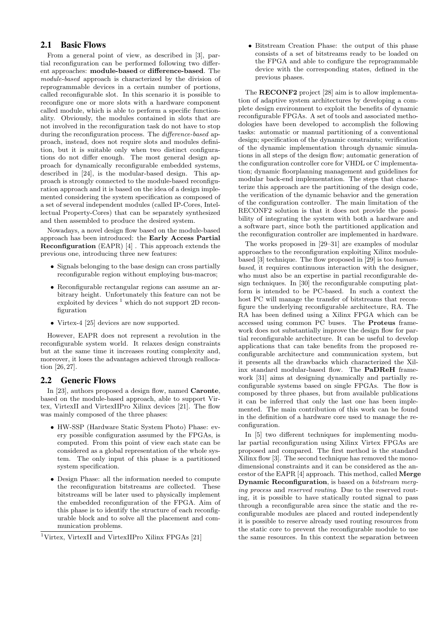# 2.1 Basic Flows

From a general point of view, as described in [3], partial reconfiguration can be performed following two different approaches: module-based or difference-based. The module-based approach is characterized by the division of reprogrammable devices in a certain number of portions, called reconfigurable slot. In this scenario it is possible to reconfigure one or more slots with a hardware component called module, which is able to perform a specific functionality. Obviously, the modules contained in slots that are not involved in the reconfiguration task do not have to stop during the reconfiguration process. The *difference-based* approach, instead, does not require slots and modules definition, but it is suitable only when two distinct configurations do not differ enough. The most general design approach for dynamically reconfigurable embedded systems, described in [24], is the modular-based design. This approach is strongly connected to the module-based reconfiguration approach and it is based on the idea of a design implemented considering the system specification as composed of a set of several independent modules (called IP-Cores, Intellectual Property-Cores) that can be separately synthesized and then assembled to produce the desired system.

Nowadays, a novel design flow based on the module-based approach has been introduced: the Early Access Partial Reconfiguration (EAPR) [4] . This approach extends the previous one, introducing three new features:

- Signals belonging to the base design can cross partially reconfigurable region without employing bus-macros;
- Reconfigurable rectangular regions can assume an arbitrary height. Unfortunately this feature can not be exploited by devices  $1$  which do not support 2D reconfiguration
- Virtex-4 [25] devices are now supported.

However, EAPR does not represent a revolution in the reconfigurable system world. It relaxes design constraints but at the same time it increases routing complexity and, moreover, it loses the advantages achieved through reallocation [26, 27].

#### 2.2 Generic Flows

In [23], authors proposed a design flow, named Caronte, based on the module-based approach, able to support Virtex, VirtexII and VirtexIIPro Xilinx devices [21]. The flow was mainly composed of the three phases:

- HW-SSP (Hardware Static System Photo) Phase: every possible configuration assumed by the FPGAs, is computed. From this point of view each state can be considered as a global representation of the whole system. The only input of this phase is a partitioned system specification.
- Design Phase: all the information needed to compute the reconfiguration bitstreams are collected. These bitstreams will be later used to physically implement the embedded reconfiguration of the FPGA. Aim of this phase is to identify the structure of each reconfigurable block and to solve all the placement and communication problems.

• Bitstream Creation Phase: the output of this phase consists of a set of bitstreams ready to be loaded on the FPGA and able to configure the reprogrammable device with the corresponding states, defined in the previous phases.

The RECONF2 project [28] aim is to allow implementation of adaptive system architectures by developing a complete design environment to exploit the benefits of dynamic reconfigurable FPGAs. A set of tools and associated methodologies have been developed to accomplish the following tasks: automatic or manual partitioning of a conventional design; specification of the dynamic constraints; verification of the dynamic implementation through dynamic simulations in all steps of the design flow; automatic generation of the configuration controller core for VHDL or C implementation; dynamic floorplanning management and guidelines for modular back-end implementation. The steps that characterize this approach are the partitioning of the design code, the verification of the dynamic behavior and the generation of the configuration controller. The main limitation of the RECONF2 solution is that it does not provide the possibility of integrating the system with both a hardware and a software part, since both the partitioned application and the reconfiguration controller are implemented in hardware.

The works proposed in [29–31] are examples of modular approaches to the reconfiguration exploiting Xilinx modulebased [3] technique. The flow proposed in [29] is too humanbased, it requires continuous interaction with the designer, who must also be an expertise in partial reconfigurable design techniques. In [30] the reconfigurable computing platform is intended to be PC-based. In such a context the host PC will manage the transfer of bitstreams that reconfigure the underlying reconfigurable architecture, RA. The RA has been defined using a Xilinx FPGA which can be accessed using common PC buses. The Proteus framework does not substantially improve the design flow for partial reconfigurable architecture. It can be useful to develop applications that can take benefits from the proposed reconfigurable architecture and communication system, but it presents all the drawbacks which characterized the Xilinx standard modular-based flow. The PaDReH framework [31] aims at designing dynamically and partially reconfigurable systems based on single FPGAs. The flow is composed by three phases, but from available publications it can be inferred that only the last one has been implemented. The main contribution of this work can be found in the definition of a hardware core used to manage the reconfiguration.

In [5] two different techniques for implementing modular partial reconfiguration using Xilinx Virtex FPGAs are proposed and compared. The first method is the standard Xilinx flow [3]. The second technique has removed the monodimensional constraints and it can be considered as the ancestor of the EAPR [4] approach. This method, called Merge Dynamic Reconfiguration, is based on a bitstream merging process and reserved routing. Due to the reserved routing, it is possible to have statically routed signal to pass through a reconfigurable area since the static and the reconfigurable modules are placed and routed independently it is possible to reserve already used routing resources from the static core to prevent the reconfigurable module to use the same resources. In this context the separation between

<sup>&</sup>lt;sup>1</sup>Virtex, VirtexII and VirtexIIPro Xilinx FPGAs [21]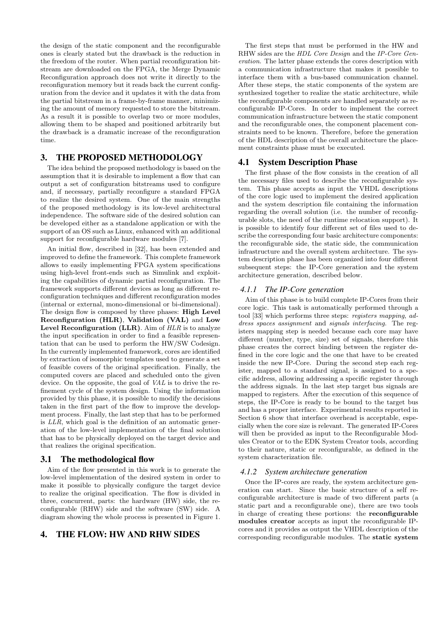the design of the static component and the reconfigurable ones is clearly stated but the drawback is the reduction in the freedom of the router. When partial reconfiguration bitstream are downloaded on the FPGA, the Merge Dynamic Reconfiguration approach does not write it directly to the reconfiguration memory but it reads back the current configuration from the device and it updates it with the data from the partial bitstream in a frame-by-frame manner, minimizing the amount of memory requested to store the bitstream. As a result it is possible to overlap two or more modules, allowing them to be shaped and positioned arbitrarily but the drawback is a dramatic increase of the reconfiguration time.

# 3. THE PROPOSED METHODOLOGY

The idea behind the proposed methodology is based on the assumption that it is desirable to implement a flow that can output a set of configuration bitstreams used to configure and, if necessary, partially reconfigure a standard FPGA to realize the desired system. One of the main strengths of the proposed methodology is its low-level architectural independence. The software side of the desired solution can be developed either as a standalone application or with the support of an OS such as Linux, enhanced with an additional support for reconfigurable hardware modules [7].

An initial flow, described in [32], has been extended and improved to define the framework. This complete framework allows to easily implementing FPGA system specifications using high-level front-ends such as Simulink and exploiting the capabilities of dynamic partial reconfiguration. The framework supports different devices as long as different reconfiguration techniques and different reconfiguration modes (internal or external, mono-dimensional or bi-dimensional). The design flow is composed by three phases: High Level Reconfiguration (HLR), Validation (VAL) and Low Level Reconfiguration (LLR). Aim of  $HLR$  is to analyze the input specification in order to find a feasible representation that can be used to perform the HW/SW Codesign. In the currently implemented framework, cores are identified by extraction of isomorphic templates used to generate a set of feasible covers of the original specification. Finally, the computed covers are placed and scheduled onto the given device. On the opposite, the goal of  $VAL$  is to drive the refinement cycle of the system design. Using the information provided by this phase, it is possible to modify the decisions taken in the first part of the flow to improve the development process. Finally, the last step that has to be performed is LLR, which goal is the definition of an automatic generation of the low-level implementation of the final solution that has to be physically deployed on the target device and that realizes the original specification.

#### 3.1 The methodological flow

Aim of the flow presented in this work is to generate the low-level implementation of the desired system in order to make it possible to physically configure the target device to realize the original specification. The flow is divided in three, concurrent, parts: the hardware (HW) side, the reconfigurable (RHW) side and the software (SW) side. A diagram showing the whole process is presented in Figure 1.

# 4. THE FLOW: HW AND RHW SIDES

The first steps that must be performed in the HW and RHW sides are the HDL Core Design and the IP-Core Generation. The latter phase extends the cores description with a communication infrastructure that makes it possible to interface them with a bus-based communication channel. After these steps, the static components of the system are synthesized together to realize the static architecture, while the reconfigurable components are handled separately as reconfigurable IP-Cores. In order to implement the correct communication infrastructure between the static component and the reconfigurable ones, the component placement constraints need to be known. Therefore, before the generation of the HDL description of the overall architecture the placement constraints phase must be executed.

# 4.1 System Description Phase

The first phase of the flow consists in the creation of all the necessary files used to describe the reconfigurable system. This phase accepts as input the VHDL descriptions of the core logic used to implement the desired application and the system description file containing the information regarding the overall solution (i.e. the number of reconfigurable slots, the need of the runtime relocation support). It is possible to identify four different set of files used to describe the corresponding four basic architecture components: the reconfigurable side, the static side, the communication infrastructure and the overall system architecture. The system description phase has been organized into four different subsequent steps: the IP-Core generation and the system architecture generation, described below.

#### *4.1.1 The IP-Core generation*

Aim of this phase is to build complete IP-Cores from their core logic. This task is automatically performed through a tool [33] which performs three steps: registers mapping, address spaces assignment and signals interfacing. The registers mapping step is needed because each core may have different (number, type, size) set of signals, therefore this phase creates the correct binding between the register defined in the core logic and the one that have to be created inside the new IP-Core. During the second step each register, mapped to a standard signal, is assigned to a specific address, allowing addressing a specific register through the address signals. In the last step target bus signals are mapped to registers. After the execution of this sequence of steps, the IP-Core is ready to be bound to the target bus and has a proper interface. Experimental results reported in Section 6 show that interface overhead is acceptable, especially when the core size is relevant. The generated IP-Cores will then be provided as input to the Reconfigurable Modules Creator or to the EDK System Creator tools, according to their nature, static or reconfigurable, as defined in the system characterization file.

#### *4.1.2 System architecture generation*

Once the IP-cores are ready, the system architecture generation can start. Since the basic structure of a self reconfigurable architecture is made of two different parts (a static part and a reconfigurable one), there are two tools in charge of creating these portions: the reconfigurable modules creator accepts as input the reconfigurable IPcores and it provides as output the VHDL description of the corresponding reconfigurable modules. The static system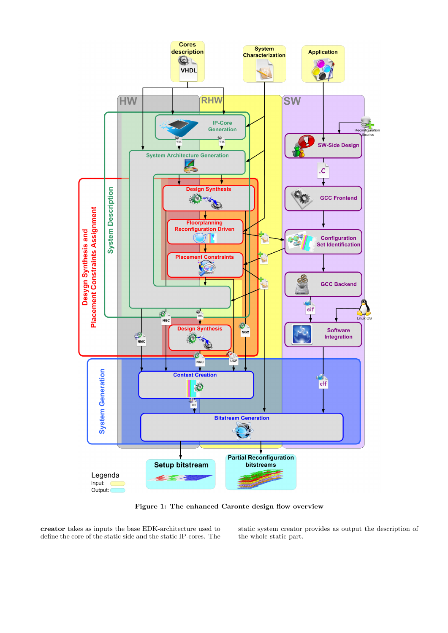

Figure 1: The enhanced Caronte design flow overview

creator takes as inputs the base EDK-architecture used to define the core of the static side and the static IP-cores. The static system creator provides as output the description of the whole static part.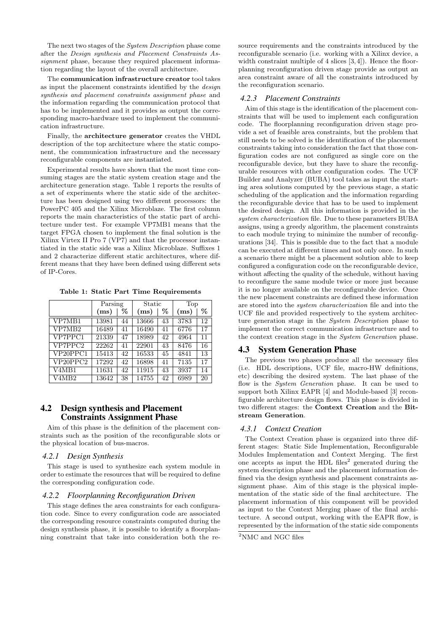The next two stages of the System Description phase come after the Design synthesis and Placement Constraints Assignment phase, because they required placement information regarding the layout of the overall architecture.

The communication infrastructure creator tool takes as input the placement constraints identified by the *design* synthesis and placement constraints assignment phase and the information regarding the communication protocol that has to be implemented and it provides as output the corresponding macro-hardware used to implement the communication infrastructure.

Finally, the architecture generator creates the VHDL description of the top architecture where the static component, the communication infrastructure and the necessary reconfigurable components are instantiated.

Experimental results have shown that the most time consuming stages are the static system creation stage and the architecture generation stage. Table 1 reports the results of a set of experiments where the static side of the architecture has been designed using two different processors: the PowerPC 405 and the Xilinx Microblaze. The first column reports the main characteristics of the static part of architecture under test. For example VP7MB1 means that the target FPGA chosen to implement the final solution is the Xilinx Virtex II Pro 7 (VP7) and that the processor instantiated in the static side was a Xilinx Microblaze. Suffixes 1 and 2 characterize different static architectures, where different means that they have been defined using different sets of IP-Cores.

Table 1: Static Part Time Requirements

|                                 | Parsing |    | Static       |    | Top  |    |
|---------------------------------|---------|----|--------------|----|------|----|
|                                 | (ms)    | %  | (ms)         | %  | (ms) | %  |
| VPTMB1                          | 13981   | 44 | 13666        | 43 | 3783 | 12 |
| VP7MB <sub>2</sub>              | 16489   | 41 | <b>16490</b> | 41 | 6776 | 17 |
| VP7PPC1                         | 21339   | 47 | 18989        | 42 | 4964 | 11 |
| VP7PPC2                         | 22262   | 41 | 22901        | 43 | 8476 | 16 |
| VP20PPC1                        | 15413   | 42 | 16533        | 45 | 4841 | 13 |
| VP20PPC2                        | 17292   | 42 | 16898        | 41 | 7135 | 17 |
| V <sub>4</sub> M <sub>B</sub> 1 | 11631   | 42 | 11915        | 43 | 3937 | 14 |
| V <sub>4</sub> M <sub>B2</sub>  | 13642   | 38 | 14755        | 42 | 6989 | 20 |

# 4.2 Design synthesis and Placement Constraints Assignment Phase

Aim of this phase is the definition of the placement constraints such as the position of the reconfigurable slots or the physical location of bus-macros.

#### *4.2.1 Design Synthesis*

This stage is used to synthesize each system module in order to estimate the resources that will be required to define the corresponding configuration code.

# *4.2.2 Floorplanning Reconfiguration Driven*

This stage defines the area constraints for each configuration code. Since to every configuration code are associated the corresponding resource constraints computed during the design synthesis phase, it is possible to identify a floorplanning constraint that take into consideration both the resource requirements and the constraints introduced by the reconfigurable scenario (i.e. working with a Xilinx device, a width constraint multiple of 4 slices [3,4]). Hence the floorplanning reconfiguration driven stage provide as output an area constraint aware of all the constraints introduced by the reconfiguration scenario.

#### *4.2.3 Placement Constraints*

Aim of this stage is the identification of the placement constraints that will be used to implement each configuration code. The floorplanning reconfiguration driven stage provide a set of feasible area constraints, but the problem that still needs to be solved is the identification of the placement constraints taking into consideration the fact that those configuration codes are not configured as single core on the reconfigurable device, but they have to share the reconfigurable resources with other configuration codes. The UCF Builder and Analyzer (BUBA) tool takes as input the starting area solutions computed by the previous stage, a static scheduling of the application and the information regarding the reconfigurable device that has to be used to implement the desired design. All this information is provided in the system characterization file. Due to these parameters BUBA assigns, using a greedy algorithm, the placement constraints to each module trying to minimize the number of reconfigurations [34]. This is possible due to the fact that a module can be executed at different times and not only once. In such a scenario there might be a placement solution able to keep configured a configuration code on the reconfigurable device, without affecting the quality of the schedule, without having to reconfigure the same module twice or more just because it is no longer available on the reconfigurable device. Once the new placement constraints are defined these information are stored into the system characterization file and into the UCF file and provided respectively to the system architecture generation stage in the *System Description* phase to implement the correct communication infrastructure and to the context creation stage in the System Generation phase.

#### 4.3 System Generation Phase

The previous two phases produce all the necessary files (i.e. HDL descriptions, UCF file, macro-HW definitions, etc) describing the desired system. The last phase of the flow is the *System Generation* phase. It can be used to support both Xilinx EAPR [4] and Module-based [3] reconfigurable architecture design flows. This phase is divided in two different stages: the Context Creation and the Bitstream Generation.

#### *4.3.1 Context Creation*

The Context Creation phase is organized into three different stages: Static Side Implementation, Reconfigurable Modules Implementation and Context Merging. The first one accepts as input the HDL files<sup>2</sup> generated during the system description phase and the placement information defined via the design synthesis and placement constraints assignment phase. Aim of this stage is the physical implementation of the static side of the final architecture. The placement information of this component will be provided as input to the Context Merging phase of the final architecture. A second output, working with the EAPR flow, is represented by the information of the static side components

 $^2 \rm NMC$  and NGC files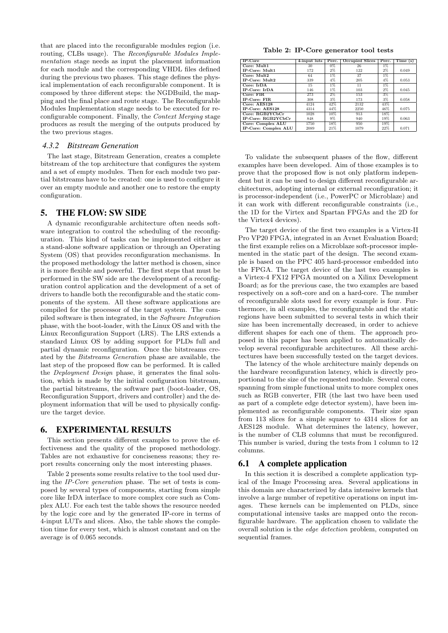that are placed into the reconfigurable modules region (i.e. routing, CLBs usage). The Reconfigurable Modules Implementation stage needs as input the placement information for each module and the corresponding VHDL files defined during the previous two phases. This stage defines the physical implementation of each reconfigurable component. It is composed by three different steps: the NGDBuild, the mapping and the final place and route stage. The Reconfigurable Modules Implementation stage needs to be executed for reconfigurable component. Finally, the Context Merging stage produces as result the merging of the outputs produced by the two previous stages.

#### *4.3.2 Bitstream Generation*

The last stage, Bitstream Generation, creates a complete bitstream of the top architecture that configures the system and a set of empty modules. Then for each module two partial bitstreams have to be created: one is used to configure it over an empty module and another one to restore the empty configuration.

### 5. THE FLOW: SW SIDE

A dynamic reconfigurable architecture often needs software integration to control the scheduling of the reconfiguration. This kind of tasks can be implemented either as a stand-alone software application or through an Operating System (OS) that provides reconfiguration mechanisms. In the proposed methodology the latter method is chosen, since it is more flexible and powerful. The first steps that must be performed in the SW side are the development of a reconfiguration control application and the development of a set of drivers to handle both the reconfigurable and the static components of the system. All these software applications are compiled for the processor of the target system. The compiled software is then integrated, in the Software Integration phase, with the boot-loader, with the Linux OS and with the Linux Reconfiguration Support (LRS). The LRS extends a standard Linux OS by adding support for PLDs full and partial dynamic reconfiguration. Once the bitstreams created by the Bitstreams Generation phase are available, the last step of the proposed flow can be performed. It is called the Deployment Design phase, it generates the final solution, which is made by the initial configuration bitstream, the partial bitstreams, the software part (boot-loader, OS, Reconfiguration Support, drivers and controller) and the deployment information that will be used to physically configure the target device.

#### 6. EXPERIMENTAL RESULTS

This section presents different examples to prove the effectiveness and the quality of the proposed methodology. Tables are not exhaustive for conciseness reasons; they report results concerning only the most interesting phases.

Table 2 presents some results relative to the tool used during the IP-Core generation phase. The set of tests is composed by several types of components, starting from simple core like IrDA interface to more complex core such as Complex ALU. For each test the table shows the resource needed by the logic core and by the generated IP-core in terms of 4-input LUTs and slices. Also, the table shows the completion time for every test, which is almost constant and on the average is of 0.065 seconds.

Table 2: IP-Core generator tool tests

| IP-Core                   | 4-input luts | Perc. | <b>Occupied Slices</b> | Perc. | Time (s) |
|---------------------------|--------------|-------|------------------------|-------|----------|
| Core: Mult1               | 30           | $0\%$ | 26                     | $1\%$ |          |
| IP-Core: Mult1            | 172          | $2\%$ | 122                    | $2\%$ | 0.049    |
| Core: Mult2               | 64           | $1\%$ | 37                     | $1\%$ |          |
| IP-Core: Mult2            | 339          | 4%    | 205                    | 4%    | 0.053    |
| Core: IrDA                | 15           | $1\%$ | 11                     | $1\%$ |          |
| <b>IP-Core: IrDA</b>      | 146          | $1\%$ | 103                    | 2%    | 0.045    |
| Core: FIR                 | 273          | $2\%$ | 153                    | $3\%$ |          |
| <b>IP-Core: FIR.</b>      | 308          | 3%    | 173                    | 3%    | 0.058    |
| $Core: \overline{AES128}$ | 4124         | 42%   | 2132                   | 43%   |          |
| IP-Core: AES128           | 4314         | 44%   | 2250                   | 46%   | 0.075    |
| Core: RGB2YCbCr           | 1028         | 10%   | 913                    | 18%   |          |
| IP-Core: RGB2YCbCr        | 848          | 9%    | 940                    | 19%   | 0.063    |
| Core: Complex ALU         | 1750         | 18%   | 950                    | 19%   |          |
| IP-Core: Complex ALU      | 2089         | 21%   | 1079                   | 22%   | 0.071    |

To validate the subsequent phases of the flow, different examples have been developed. Aim of those examples is to prove that the proposed flow is not only platform independent but it can be used to design different reconfigurable architectures, adopting internal or external reconfiguration; it is processor-independent (i.e., PowerPC or Microblaze) and it can work with different reconfigurable constraints (i.e., the 1D for the Virtex and Spartan FPGAs and the 2D for the Virtex4 devices).

The target device of the first two examples is a Virtex-II Pro VP20 FPGA, integrated in an Avnet Evaluation Board; the first example relies on a Microblaze soft-processor implemented in the static part of the design. The second example is based on the PPC 405 hard-processor embedded into the FPGA. The target device of the last two examples is a Virtex-4 FX12 FPGA mounted on a Xilinx Development Board; as for the previous case, the two examples are based respectively on a soft-core and on a hard-core. The number of reconfigurable slots used for every example is four. Furthermore, in all examples, the reconfigurable and the static regions have been submitted to several tests in which their size has been incrementally decreased, in order to achieve different shapes for each one of them. The approach proposed in this paper has been applied to automatically develop several reconfigurable architectures. All these architectures have been successfully tested on the target devices.

The latency of the whole architecture mainly depends on the hardware reconfiguration latency, which is directly proportional to the size of the requested module. Several cores, spanning from simple functional units to more complex ones such as RGB converter, FIR (the last two have been used as part of a complete edge detector system), have been implemented as reconfigurable components. Their size span from 113 slices for a simple squarer to 4314 slices for an AES128 module. What determines the latency, however, is the number of CLB columns that must be reconfigured. This number is varied, during the tests from 1 column to 12 columns.

## 6.1 A complete application

In this section it is described a complete application typical of the Image Processing area. Several applications in this domain are characterized by data intensive kernels that involve a large number of repetitive operations on input images. These kernels can be implemented on PLDs, since computational intensive tasks are mapped onto the reconfigurable hardware. The application chosen to validate the overall solution is the edge detection problem, computed on sequential frames.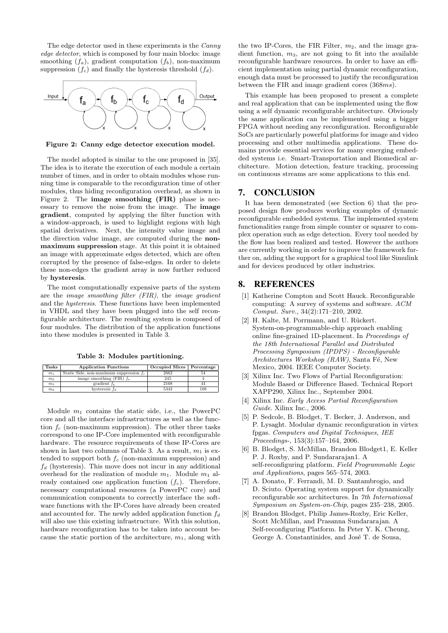The edge detector used in these experiments is the Canny edge detector, which is composed by four main blocks: image smoothing  $(f_a)$ , gradient computation  $(f_b)$ , non-maximum suppression  $(f_c)$  and finally the hysteresis threshold  $(f_d)$ .



Figure 2: Canny edge detector execution model.

The model adopted is similar to the one proposed in [35]. The idea is to iterate the execution of each module a certain number of times, and in order to obtain modules whose running time is comparable to the reconfiguration time of other modules, thus hiding reconfiguration overhead, as shown in Figure 2. The image smoothing (FIR) phase is necessary to remove the noise from the image. The image gradient, computed by applying the filter function with a window-approach, is used to highlight regions with high spatial derivatives. Next, the intensity value image and the direction value image, are computed during the nonmaximum suppression stage. At this point it is obtained an image with approximate edges detected, which are often corrupted by the presence of false-edges. In order to delete these non-edges the gradient array is now further reduced by hysteresis.

The most computationally expensive parts of the system are the image smoothing filter (FIR), the image gradient and the hysteresis. These functions have been implemented in VHDL and they have been plugged into the self reconfigurable architecture. The resulting system is composed of four modules. The distribution of the application functions into these modules is presented in Table 3.

Table 3: Modules partitioning.

| Tasks          | <b>Application Functions</b>               | Occupied Slices   Percentage |     |
|----------------|--------------------------------------------|------------------------------|-----|
| m <sub>1</sub> | Static Side, non-maximum suppression $f_c$ | 2662                         | 54  |
| m <sub>2</sub> | image smoothing (FIR) $f_a$                | 245                          |     |
| m <sub>3</sub> | gradient $fb$                              | 2168                         | 44  |
| m <sub>4</sub> | hysteresis $f_d$                           | 5343                         | 108 |

Module  $m_1$  contains the static side, i.e., the PowerPC core and all the interface infrastructures as well as the function  $f_c$  (non-maximum suppression). The other three tasks correspond to one IP-Core implemented with reconfigurable hardware. The resource requirements of these IP-Cores are shown in last two columns of Table 3. As a result,  $m_1$  is extended to support both  $f_c$  (non-maximum suppression) and  $f<sub>d</sub>$  (hysteresis). This move does not incur in any additional overhead for the realization of module  $m_1$ . Module  $m_1$  already contained one application function  $(f_c)$ . Therefore, necessary computational resources (a PowerPC core) and communication components to correctly interface the software functions with the IP-Cores have already been created and accounted for. The newly added application function  $f_d$ will also use this existing infrastructure. With this solution, hardware reconfiguration has to be taken into account because the static portion of the architecture,  $m_1$ , along with

the two IP-Cores, the FIR Filter,  $m_2$ , and the image gradient function,  $m_3$ , are not going to fit into the available reconfigurable hardware resources. In order to have an efficient implementation using partial dynamic reconfiguration, enough data must be processed to justify the reconfiguration between the FIR and image gradient cores (368ms).

This example has been proposed to present a complete and real application that can be implemented using the flow using a self dynamic reconfigurable architecture. Obviously the same application can be implemented using a bigger FPGA without needing any reconfiguration. Reconfigurable SoCs are particularly powerful platforms for image and video processing and other multimedia applications. These domains provide essential services for many emerging embedded systems i.e. Smart-Transportation and Biomedical architecture. Motion detection, feature tracking, processing on continuous streams are some applications to this end.

# 7. CONCLUSION

It has been demonstrated (see Section 6) that the proposed design flow produces working examples of dynamic reconfigurable embedded systems. The implemented system functionalities range from simple counter or squarer to complex operation such as edge detection. Every tool needed by the flow has been realized and tested. However the authors are currently working in order to improve the framework further on, adding the support for a graphical tool like Simulink and for devices produced by other industries.

#### 8. REFERENCES

- [1] Katherine Compton and Scott Hauck. Reconfigurable computing: A survey of systems and software. ACM Comput. Surv., 34(2):171–210, 2002.
- [2] H. Kalte, M. Porrmann, and U. Rückert. System-on-programmable-chip approach enabling online fine-grained 1D-placement. In Proceedings of the 18th International Parallel and Distributed Processing Symposium (IPDPS) - Reconfigurable Architectures Workshop  $(RAW)$ , Santa Fé, New Mexico, 2004. IEEE Computer Society.
- [3] Xilinx Inc. Two Flows of Partial Reconfiguration: Module Based or Difference Based. Technical Report XAPP290, Xilinx Inc., September 2004.
- [4] Xilinx Inc. Early Access Partial Reconfiguration Guide. Xilinx Inc., 2006.
- [5] P. Sedcole, B. Blodget, T. Becker, J. Anderson, and P. Lysaght. Modular dynamic reconfiguration in virtex fpgas. Computers and Digital Techniques, IEE Proceedings-, 153(3):157–164, 2006.
- [6] B. Blodget, S. McMillan, Brandon Blodget1, E. Keller P. J. Roxby, and P. Sundararajan1. A self-reconfiguring platform. Field Programmable Logic and Applications, pages 565–574, 2003.
- [7] A. Donato, F. Ferrandi, M. D. Santambrogio, and D. Sciuto. Operating system support for dynamically reconfigurable soc architectures. In 7th International Symposium on System-on-Chip, pages 235–238, 2005.
- [8] Brandon Blodget, Philip James-Roxby, Eric Keller, Scott McMillan, and Prasanna Sundararajan. A Self-reconfiguring Platform. In Peter Y. K. Cheung, George A. Constantinides, and José T. de Sousa,